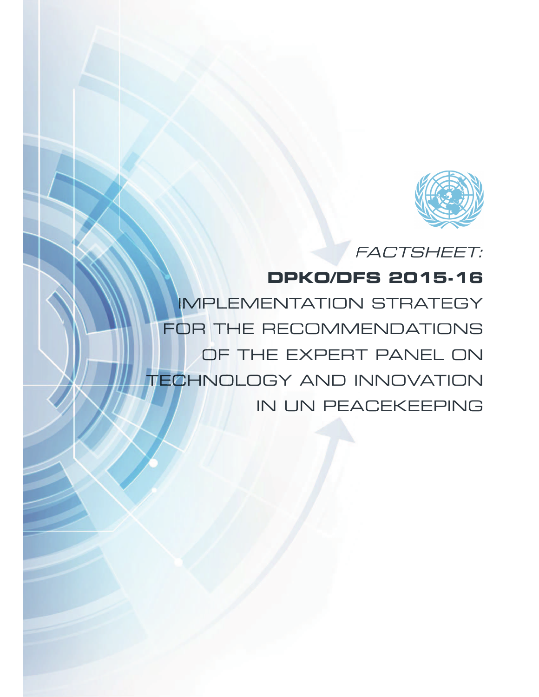

FACTSHEET:

# **DPKO/DFS 2015-16**

IMPLEMENTATION STRATEGY FOR THE RECOMMENDATIONS OF THE EXPERT PANEL ON TECHNOLOGY AND INNOVATION IN UN PEACEKEEPING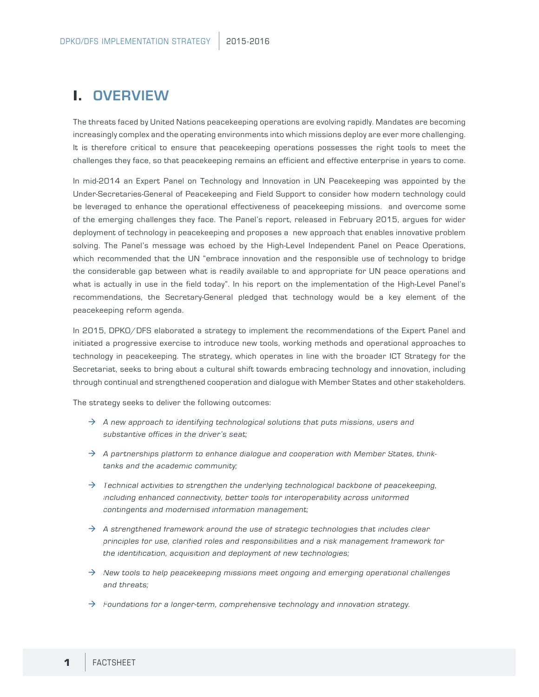## **I.** OVERVIEW

The threats faced by United Nations peacekeeping operations are evolving rapidly. Mandates are becoming increasingly complex and the operating environments into which missions deploy are ever more challenging. It is therefore critical to ensure that peacekeeping operations possesses the right tools to meet the challenges they face, so that peacekeeping remains an efficient and effective enterprise in years to come.

In mid-2014 an Expert Panel on Technology and Innovation in UN Peacekeeping was appointed by the Under-Secretaries-General of Peacekeeping and Field Support to consider how modern technology could be leveraged to enhance the operational effectiveness of peacekeeping missions. and overcome some of the emerging challenges they face. The Panel's report, released in February 2015, argues for wider deployment of technology in peacekeeping and proposes a new approach that enables innovative problem solving. The Panel's message was echoed by the High-Level Independent Panel on Peace Operations, which recommended that the UN "embrace innovation and the responsible use of technology to bridge the considerable gap between what is readily available to and appropriate for UN peace operations and what is actually in use in the field today". In his report on the implementation of the High-Level Panel's recommendations, the Secretary-General pledged that technology would be a key element of the peacekeeping reform agenda.

In 2015, DPKO/DFS elaborated a strategy to implement the recommendations of the Expert Panel and initiated a progressive exercise to introduce new tools, working methods and operational approaches to technology in peacekeeping. The strategy, which operates in line with the broader ICT Strategy for the Secretariat, seeks to bring about a cultural shift towards embracing technology and innovation, including through continual and strengthened cooperation and dialogue with Member States and other stakeholders.

The strategy seeks to deliver the following outcomes:

- $\rightarrow$  A new approach to identifying technological solutions that puts missions, users and substantive offices in the driver's seat;
- $\rightarrow$  A partnerships platform to enhance dialogue and cooperation with Member States, thinktanks and the academic community;
- $\rightarrow$  Technical activities to strengthen the underlying technological backbone of peacekeeping, including enhanced connectivity, better tools for interoperability across uniformed contingents and modernised information management;
- $\rightarrow$  A strengthened framework around the use of strategic technologies that includes clear principles for use, clarified roles and responsibilities and a risk management framework for the identification, acquisition and deployment of new technologies;
- $\rightarrow$  New tools to help peacekeeping missions meet ongoing and emerging operational challenges and threats;
- $\rightarrow$  Foundations for a longer-term, comprehensive technology and innovation strategy.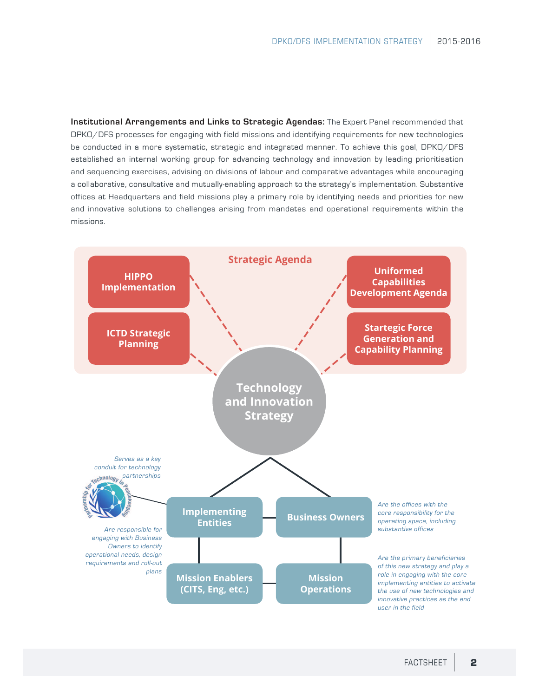**Institutional Arrangements and Links to Strategic Agendas:** The Expert Panel recommended that DPKO/DFS processes for engaging with field missions and identifying requirements for new technologies be conducted in a more systematic, strategic and integrated manner. To achieve this goal, DPKO/DFS established an internal working group for advancing technology and innovation by leading prioritisation and sequencing exercises, advising on divisions of labour and comparative advantages while encouraging a collaborative, consultative and mutually-enabling approach to the strategy's implementation. Substantive offices at Headquarters and field missions play a primary role by identifying needs and priorities for new and innovative solutions to challenges arising from mandates and operational requirements within the missions.

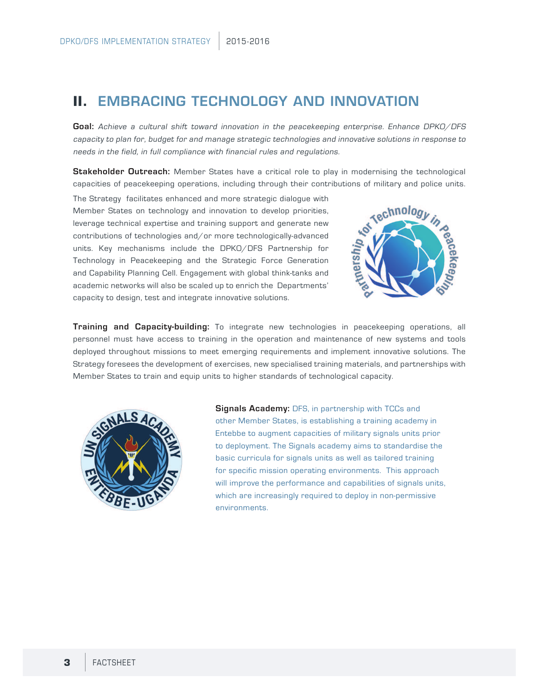### **II.** EMBRACING TECHNOLOGY AND INNOVATION

**Goal:** Achieve a cultural shift toward innovation in the peacekeeping enterprise. Enhance DPKO/DFS capacity to plan for, budget for and manage strategic technologies and innovative solutions in response to needs in the field, in full compliance with financial rules and regulations.

**Stakeholder Outreach:** Member States have a critical role to play in modernising the technological capacities of peacekeeping operations, including through their contributions of military and police units.

The Strategy facilitates enhanced and more strategic dialogue with Member States on technology and innovation to develop priorities, leverage technical expertise and training support and generate new contributions of technologies and/or more technologically-advanced units. Key mechanisms include the DPKO/DFS Partnership for Technology in Peacekeeping and the Strategic Force Generation and Capability Planning Cell. Engagement with global think-tanks and academic networks will also be scaled up to enrich the Departments' capacity to design, test and integrate innovative solutions.



**Training and Capacity-building:** To integrate new technologies in peacekeeping operations, all personnel must have access to training in the operation and maintenance of new systems and tools deployed throughout missions to meet emerging requirements and implement innovative solutions. The Strategy foresees the development of exercises, new specialised training materials, and partnerships with Member States to train and equip units to higher standards of technological capacity.



**Signals Academy: DFS, in partnership with TCCs and** other Member States, is establishing a training academy in Entebbe to augment capacities of military signals units prior to deployment. The Signals academy aims to standardise the basic curricula for signals units as well as tailored training for specific mission operating environments. This approach will improve the performance and capabilities of signals units, which are increasingly required to deploy in non-permissive environments.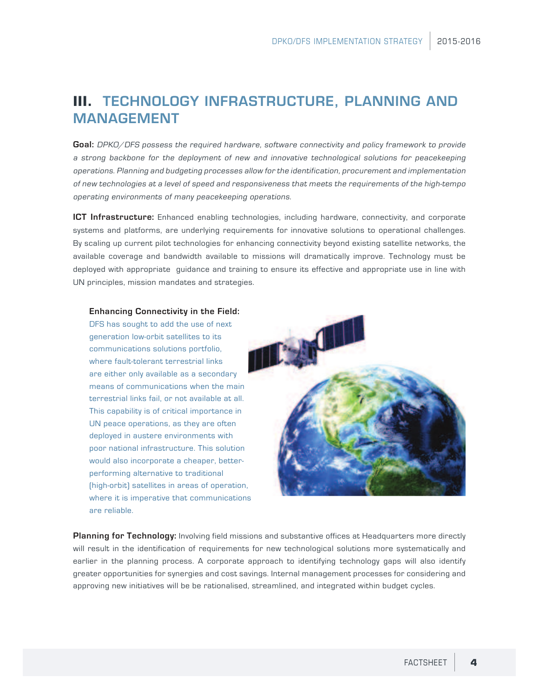# **III.** TECHNOLOGY INFRASTRUCTURE, PLANNING AND MANAGEMENT

**Goal:** DPKO/DFS possess the required hardware, software connectivity and policy framework to provide a strong backbone for the deployment of new and innovative technological solutions for peacekeeping operations. Planning and budgeting processes allow for the identification, procurement and implementation of new technologies at a level of speed and responsiveness that meets the requirements of the high-tempo operating environments of many peacekeeping operations.

**ICT Infrastructure:** Enhanced enabling technologies, including hardware, connectivity, and corporate systems and platforms, are underlying requirements for innovative solutions to operational challenges. By scaling up current pilot technologies for enhancing connectivity beyond existing satellite networks, the available coverage and bandwidth available to missions will dramatically improve. Technology must be deployed with appropriate guidance and training to ensure its effective and appropriate use in line with UN principles, mission mandates and strategies.

### **Enhancing Connectivity in the Field:**

DFS has sought to add the use of next generation low-orbit satellites to its communications solutions portfolio, where fault-tolerant terrestrial links are either only available as a secondary means of communications when the main terrestrial links fail, or not available at all. This capability is of critical importance in UN peace operations, as they are often deployed in austere environments with poor national infrastructure. This solution would also incorporate a cheaper, betterperforming alternative to traditional (high-orbit) satellites in areas of operation, where it is imperative that communications are reliable.



**Planning for Technology:** Involving field missions and substantive offices at Headquarters more directly will result in the identification of requirements for new technological solutions more systematically and earlier in the planning process. A corporate approach to identifying technology gaps will also identify greater opportunities for synergies and cost savings. Internal management processes for considering and approving new initiatives will be be rationalised, streamlined, and integrated within budget cycles.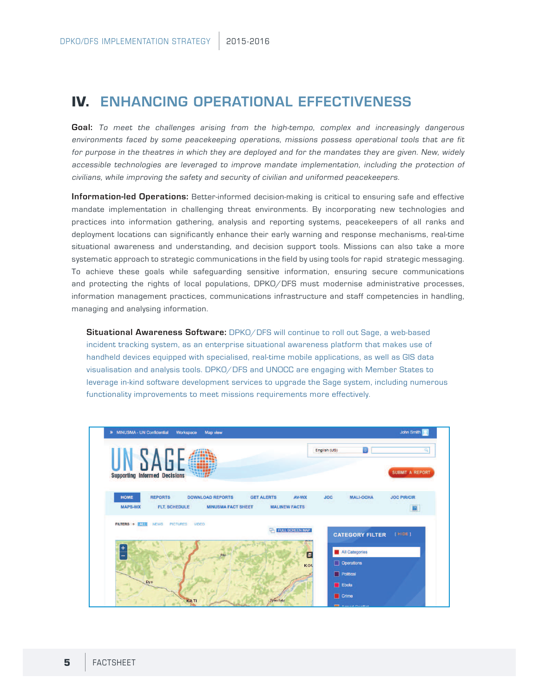### **IV.** ENHANCING OPERATIONAL EFFECTIVENESS

**Goal:** To meet the challenges arising from the high-tempo, complex and increasingly dangerous environments faced by some peacekeeping operations, missions possess operational tools that are fit for purpose in the theatres in which they are deployed and for the mandates they are given. New, widely accessible technologies are leveraged to improve mandate implementation, including the protection of civilians, while improving the safety and security of civilian and uniformed peacekeepers.

**Information-led Operations:** Better-informed decision-making is critical to ensuring safe and effective mandate implementation in challenging threat environments. By incorporating new technologies and practices into information gathering, analysis and reporting systems, peacekeepers of all ranks and deployment locations can significantly enhance their early warning and response mechanisms, real-time situational awareness and understanding, and decision support tools. Missions can also take a more systematic approach to strategic communications in the field by using tools for rapid strategic messaging. To achieve these goals while safeguarding sensitive information, ensuring secure communications and protecting the rights of local populations, DPKO/DFS must modernise administrative processes, information management practices, communications infrastructure and staff competencies in handling, managing and analysing information.

**Situational Awareness Software:** DPKO/DFS will continue to roll out Sage, a web-based incident tracking system, as an enterprise situational awareness platform that makes use of handheld devices equipped with specialised, real-time mobile applications, as well as GIS data visualisation and analysis tools. DPKO/DFS and UNOCC are engaging with Member States to leverage in-kind software development services to upgrade the Sage system, including numerous functionality improvements to meet missions requirements more effectively.

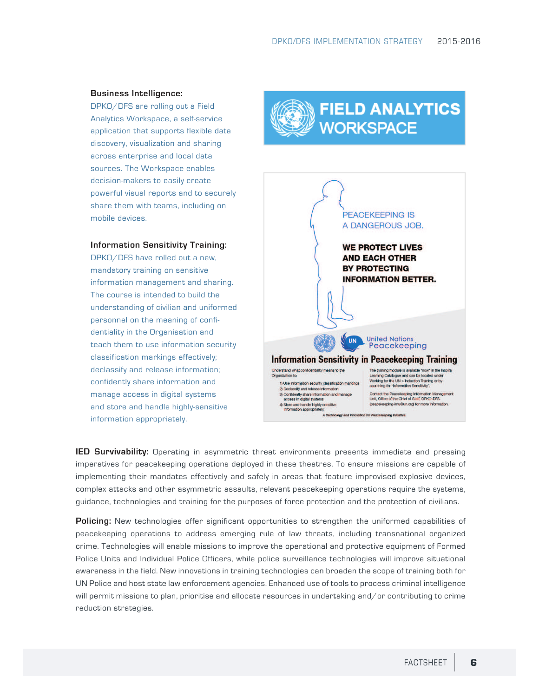### **Business Intelligence:**

DPKO/DFS are rolling out a Field Analytics Workspace, a self-service application that supports flexible data discovery, visualization and sharing across enterprise and local data sources. The Workspace enables decision-makers to easily create powerful visual reports and to securely share them with teams, including on mobile devices.

### **Information Sensitivity Training:**

DPKO/DFS have rolled out a new, mandatory training on sensitive information management and sharing. The course is intended to build the understanding of civilian and uniformed personnel on the meaning of confidentiality in the Organisation and teach them to use information security classification markings effectively; declassify and release information; confidently share information and manage access in digital systems and store and handle highly-sensitive information appropriately.

# **FIELD ANALYTICS WORKSPACE**



**IED Survivability:** Operating in asymmetric threat environments presents immediate and pressing imperatives for peacekeeping operations deployed in these theatres. To ensure missions are capable of implementing their mandates effectively and safely in areas that feature improvised explosive devices, complex attacks and other asymmetric assaults, relevant peacekeeping operations require the systems, guidance, technologies and training for the purposes of force protection and the protection of civilians.

**Policing:** New technologies offer significant opportunities to strengthen the uniformed capabilities of peacekeeping operations to address emerging rule of law threats, including transnational organized crime. Technologies will enable missions to improve the operational and protective equipment of Formed Police Units and Individual Police Officers, while police surveillance technologies will improve situational awareness in the field. New innovations in training technologies can broaden the scope of training both for UN Police and host state law enforcement agencies. Enhanced use of tools to process criminal intelligence will permit missions to plan, prioritise and allocate resources in undertaking and/or contributing to crime reduction strategies.